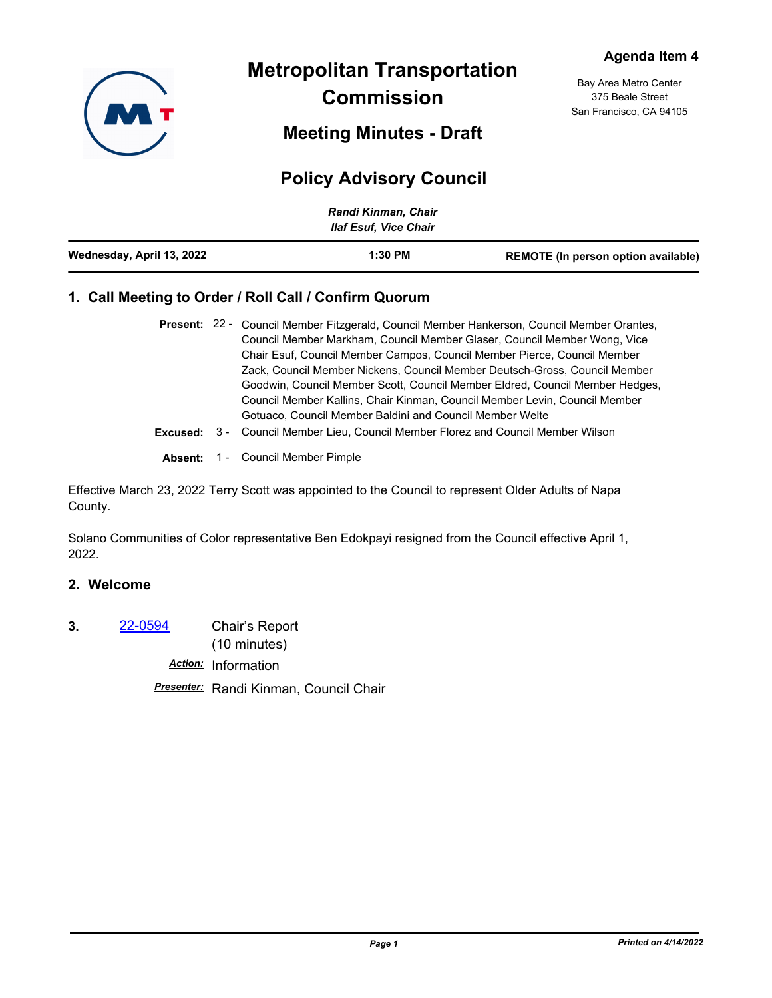

**Metropolitan Transportation Commission**

**Meeting Minutes - Draft**

# **Policy Advisory Council**

|                           | Randi Kinman, Chair<br><b>Ilaf Esuf, Vice Chair</b> |                                     |
|---------------------------|-----------------------------------------------------|-------------------------------------|
| Wednesday, April 13, 2022 | $1:30$ PM                                           | REMOTE (In person option available) |

# **1. Call Meeting to Order / Roll Call / Confirm Quorum**

|  | Present: 22 - Council Member Fitzgerald, Council Member Hankerson, Council Member Orantes, |
|--|--------------------------------------------------------------------------------------------|
|  | Council Member Markham, Council Member Glaser, Council Member Wong, Vice                   |
|  | Chair Esuf, Council Member Campos, Council Member Pierce, Council Member                   |
|  | Zack, Council Member Nickens, Council Member Deutsch-Gross, Council Member                 |
|  | Goodwin, Council Member Scott, Council Member Eldred, Council Member Hedges,               |
|  | Council Member Kallins, Chair Kinman, Council Member Levin, Council Member                 |
|  | Gotuaco, Council Member Baldini and Council Member Welte                                   |
|  | <b>Excused:</b> 3 - Council Member Lieu, Council Member Florez and Council Member Wilson   |

**Absent:** 1 - Council Member Pimple

Effective March 23, 2022 Terry Scott was appointed to the Council to represent Older Adults of Napa County.

Solano Communities of Color representative Ben Edokpayi resigned from the Council effective April 1, 2022.

# **2. Welcome**

**3.** [22-0594](http://mtc.legistar.com/gateway.aspx?m=l&id=/matter.aspx?key=23853) Chair's Report

(10 minutes)

*Action:* Information

*Presenter:* Randi Kinman, Council Chair

Bay Area Metro Center 375 Beale Street San Francisco, CA 94105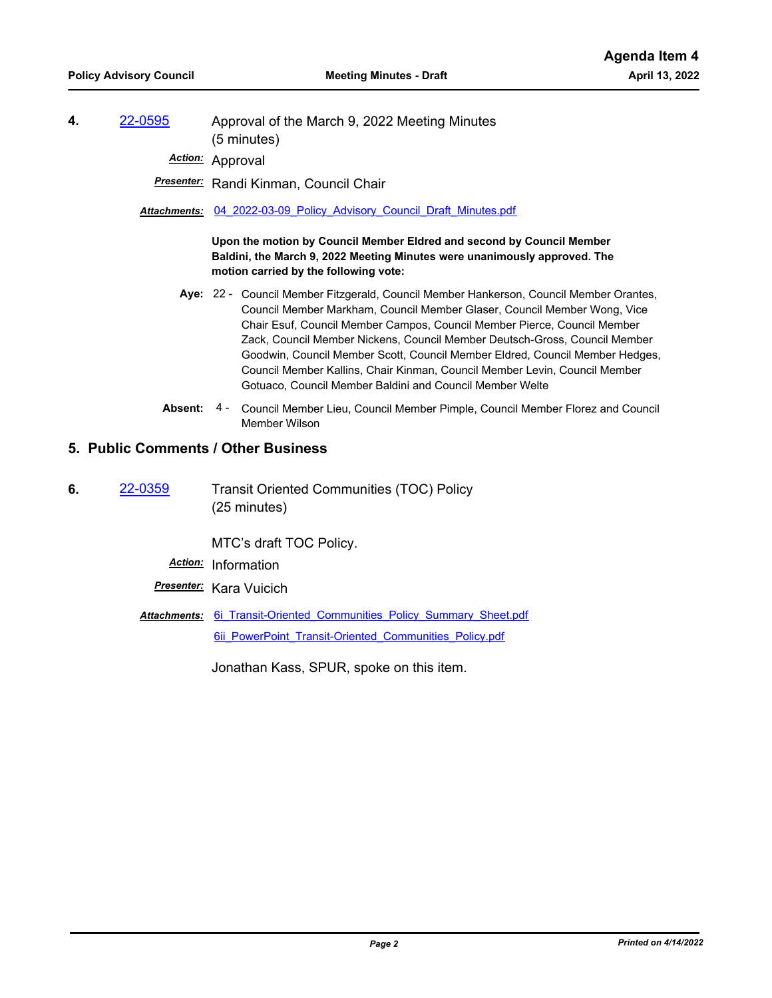**4.** [22-0595](http://mtc.legistar.com/gateway.aspx?m=l&id=/matter.aspx?key=23854) Approval of the March 9, 2022 Meeting Minutes (5 minutes)

*Action:* Approval

*Presenter:* Randi Kinman, Council Chair

*Attachments:* [04\\_2022-03-09\\_Policy\\_Advisory\\_Council\\_Draft\\_Minutes.pdf](http://mtc.legistar.com/gateway.aspx?M=F&ID=0d0b0c6b-784c-42d5-a1c5-6502379e8f81.pdf)

**Upon the motion by Council Member Eldred and second by Council Member Baldini, the March 9, 2022 Meeting Minutes were unanimously approved. The motion carried by the following vote:**

- Aye: 22 Council Member Fitzgerald, Council Member Hankerson, Council Member Orantes, Council Member Markham, Council Member Glaser, Council Member Wong, Vice Chair Esuf, Council Member Campos, Council Member Pierce, Council Member Zack, Council Member Nickens, Council Member Deutsch-Gross, Council Member Goodwin, Council Member Scott, Council Member Eldred, Council Member Hedges, Council Member Kallins, Chair Kinman, Council Member Levin, Council Member Gotuaco, Council Member Baldini and Council Member Welte
- Absent: 4 Council Member Lieu, Council Member Pimple, Council Member Florez and Council Member Wilson

#### **5. Public Comments / Other Business**

**6.** [22-0359](http://mtc.legistar.com/gateway.aspx?m=l&id=/matter.aspx?key=23618) Transit Oriented Communities (TOC) Policy (25 minutes)

MTC's draft TOC Policy.

- *Action:* Information
- *Presenter:* Kara Vuicich
- Attachments: 6i Transit-Oriented Communities Policy Summary Sheet.pdf 6ii PowerPoint Transit-Oriented Communities Policy.pdf

Jonathan Kass, SPUR, spoke on this item.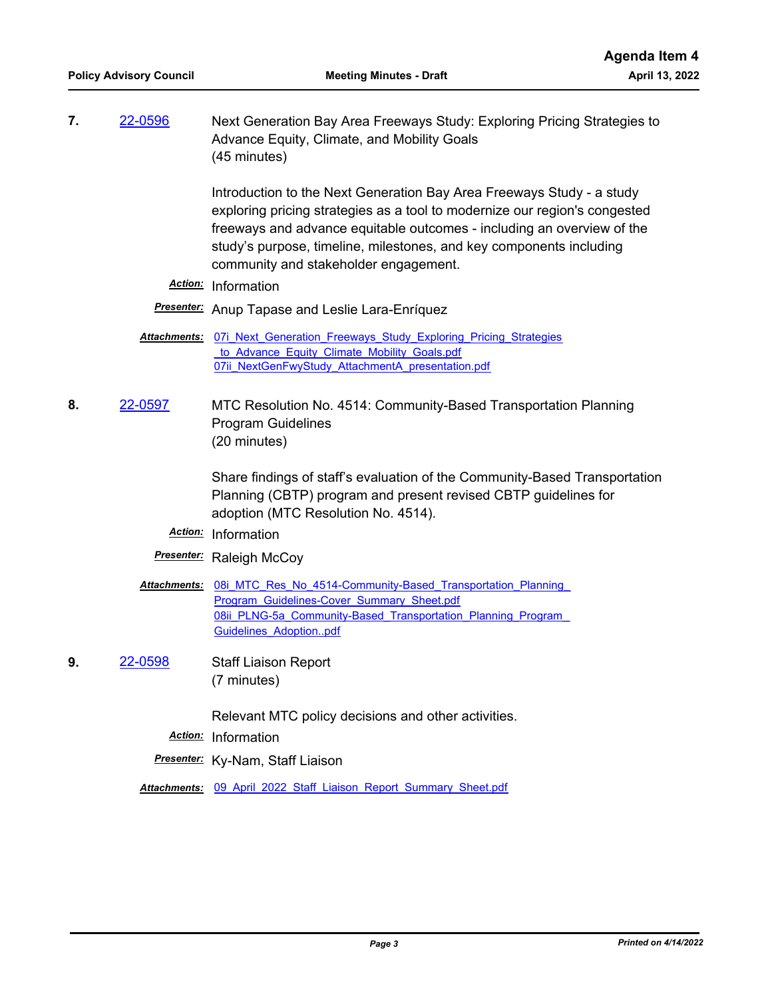**7.** [22-0596](http://mtc.legistar.com/gateway.aspx?m=l&id=/matter.aspx?key=23855) Next Generation Bay Area Freeways Study: Exploring Pricing Strategies to Advance Equity, Climate, and Mobility Goals (45 minutes)

> Introduction to the Next Generation Bay Area Freeways Study - a study exploring pricing strategies as a tool to modernize our region's congested freeways and advance equitable outcomes - including an overview of the study's purpose, timeline, milestones, and key components including community and stakeholder engagement.

*Action:* Information

*Presenter:* Anup Tapase and Leslie Lara-Enríquez

- **Attachments:** 07i Next Generation Freeways Study Exploring Pricing Strategies to Advance Equity Climate Mobility Goals.pdf [07ii\\_NextGenFwyStudy\\_AttachmentA\\_presentation.pdf](http://mtc.legistar.com/gateway.aspx?M=F&ID=b6bed833-c631-4425-95d0-1926f02d94b3.pdf)
- **8.** [22-0597](http://mtc.legistar.com/gateway.aspx?m=l&id=/matter.aspx?key=23856) MTC Resolution No. 4514: Community-Based Transportation Planning Program Guidelines (20 minutes)

Share findings of staff's evaluation of the Community-Based Transportation Planning (CBTP) program and present revised CBTP guidelines for adoption (MTC Resolution No. 4514).

*Action:* Information

## *Presenter:* Raleigh McCoy

- Attachments: 08i MTC Res No 4514-Community-Based Transportation Planning Program\_Guidelines-Cover\_Summary\_Sheet.pdf 08ii PLNG-5a Community-Based Transportation Planning Program Guidelines Adoption..pdf
- **9.** [22-0598](http://mtc.legistar.com/gateway.aspx?m=l&id=/matter.aspx?key=23857) Staff Liaison Report (7 minutes)

Relevant MTC policy decisions and other activities.

*Action:* Information

*Presenter:* Ky-Nam, Staff Liaison

Attachments: 09 April 2022 Staff Liaison Report Summary Sheet.pdf